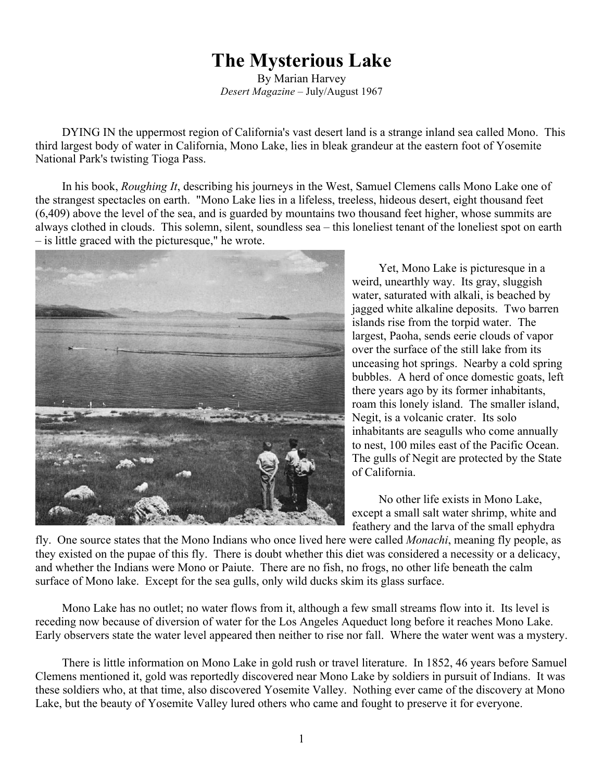## **The Mysterious Lake**

By Marian Harvey *Desert Magazine* – July/August 1967

DYING IN the uppermost region of California's vast desert land is a strange inland sea called Mono. This third largest body of water in California, Mono Lake, lies in bleak grandeur at the eastern foot of Yosemite National Park's twisting Tioga Pass.

In his book, *Roughing It*, describing his journeys in the West, Samuel Clemens calls Mono Lake one of the strangest spectacles on earth. "Mono Lake lies in a lifeless, treeless, hideous desert, eight thousand feet (6,409) above the level of the sea, and is guarded by mountains two thousand feet higher, whose summits are always clothed in clouds. This solemn, silent, soundless sea – this loneliest tenant of the loneliest spot on earth – is little graced with the picturesque," he wrote.



Yet, Mono Lake is picturesque in a weird, unearthly way. Its gray, sluggish water, saturated with alkali, is beached by jagged white alkaline deposits. Two barren islands rise from the torpid water. The largest, Paoha, sends eerie clouds of vapor over the surface of the still lake from its unceasing hot springs. Nearby a cold spring bubbles. A herd of once domestic goats, left there years ago by its former inhabitants, roam this lonely island. The smaller island, Negit, is a volcanic crater. Its solo inhabitants are seagulls who come annually to nest, 100 miles east of the Pacific Ocean. The gulls of Negit are protected by the State of California.

No other life exists in Mono Lake, except a small salt water shrimp, white and feathery and the larva of the small ephydra

fly. One source states that the Mono Indians who once lived here were called *Monachi*, meaning fly people, as they existed on the pupae of this fly. There is doubt whether this diet was considered a necessity or a delicacy, and whether the Indians were Mono or Paiute. There are no fish, no frogs, no other life beneath the calm surface of Mono lake. Except for the sea gulls, only wild ducks skim its glass surface.

Mono Lake has no outlet; no water flows from it, although a few small streams flow into it. Its level is receding now because of diversion of water for the Los Angeles Aqueduct long before it reaches Mono Lake. Early observers state the water level appeared then neither to rise nor fall. Where the water went was a mystery.

There is little information on Mono Lake in gold rush or travel literature. In 1852, 46 years before Samuel Clemens mentioned it, gold was reportedly discovered near Mono Lake by soldiers in pursuit of Indians. It was these soldiers who, at that time, also discovered Yosemite Valley. Nothing ever came of the discovery at Mono Lake, but the beauty of Yosemite Valley lured others who came and fought to preserve it for everyone.